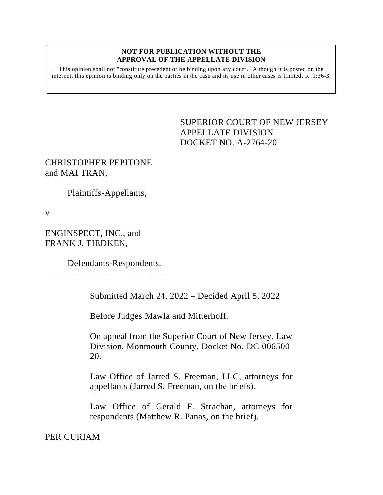#### **NOT FOR PUBLICATION WITHOUT THE APPROVAL OF THE APPELLATE DIVISION**

This opinion shall not "constitute precedent or be binding upon any court." Although it is posted on the internet, this opinion is binding only on the parties in the case and its use in other cases is limited. R. 1:36-3.

# <span id="page-0-0"></span>SUPERIOR COURT OF NEW JERSEY APPELLATE DIVISION DOCKET NO. A-2764-20

CHRISTOPHER PEPITONE and MAI TRAN,

Plaintiffs-Appellants,

v.

ENGINSPECT, INC., and FRANK J. TIEDKEN,

Defendants-Respondents.

\_\_\_\_\_\_\_\_\_\_\_\_\_\_\_\_\_\_\_\_\_\_\_\_\_\_\_

Submitted March 24, 2022 – Decided April 5, 2022

Before Judges Mawla and Mitterhoff.

On appeal from the Superior Court of New Jersey, Law Division, Monmouth County, Docket No. DC-006500- 20.

Law Office of Jarred S. Freeman, LLC, attorneys for appellants (Jarred S. Freeman, on the briefs).

Law Office of Gerald F. Strachan, attorneys for respondents (Matthew R. Panas, on the brief).

PER CURIAM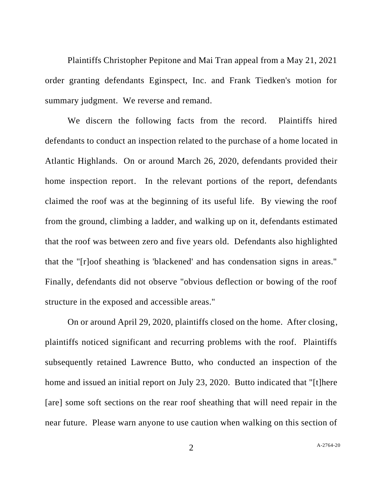Plaintiffs Christopher Pepitone and Mai Tran appeal from a May 21, 2021 order granting defendants Eginspect, Inc. and Frank Tiedken's motion for summary judgment. We reverse and remand.

We discern the following facts from the record. Plaintiffs hired defendants to conduct an inspection related to the purchase of a home located in Atlantic Highlands. On or around March 26, 2020, defendants provided their home inspection report. In the relevant portions of the report, defendants claimed the roof was at the beginning of its useful life. By viewing the roof from the ground, climbing a ladder, and walking up on it, defendants estimated that the roof was between zero and five years old. Defendants also highlighted that the "[r]oof sheathing is 'blackened' and has condensation signs in areas." Finally, defendants did not observe "obvious deflection or bowing of the roof structure in the exposed and accessible areas."

On or around April 29, 2020, plaintiffs closed on the home. After closing, plaintiffs noticed significant and recurring problems with the roof. Plaintiffs subsequently retained Lawrence Butto, who conducted an inspection of the home and issued an initial report on July 23, 2020. Butto indicated that "[t]here [are] some soft sections on the rear roof sheathing that will need repair in the near future. Please warn anyone to use caution when walking on this section of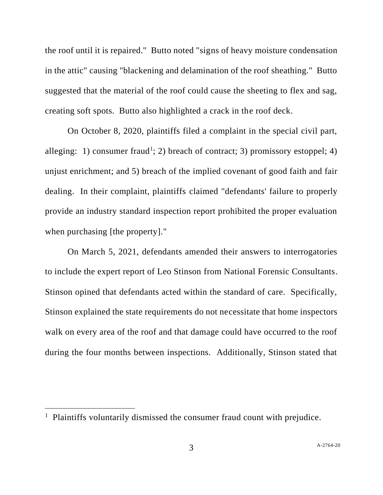the roof until it is repaired." Butto noted "signs of heavy moisture condensation in the attic" causing "blackening and delamination of the roof sheathing." Butto suggested that the material of the roof could cause the sheeting to flex and sag, creating soft spots. Butto also highlighted a crack in the roof deck.

On October 8, 2020, plaintiffs filed a complaint in the special civil part, alleging: 1) consumer fraud<sup>1</sup>; 2) breach of contract; 3) promissory estoppel; 4) unjust enrichment; and 5) breach of the implied covenant of good faith and fair dealing. In their complaint, plaintiffs claimed "defendants' failure to properly provide an industry standard inspection report prohibited the proper evaluation when purchasing [the property]."

On March 5, 2021, defendants amended their answers to interrogatories to include the expert report of Leo Stinson from National Forensic Consultants. Stinson opined that defendants acted within the standard of care. Specifically, Stinson explained the state requirements do not necessitate that home inspectors walk on every area of the roof and that damage could have occurred to the roof during the four months between inspections. Additionally, Stinson stated that

<sup>&</sup>lt;sup>1</sup> Plaintiffs voluntarily dismissed the consumer fraud count with prejudice.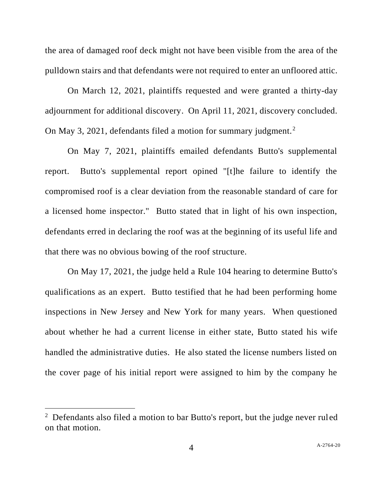the area of damaged roof deck might not have been visible from the area of the pulldown stairs and that defendants were not required to enter an unfloored attic.

On March 12, 2021, plaintiffs requested and were granted a thirty-day adjournment for additional discovery. On April 11, 2021, discovery concluded. On May 3, 2021, defendants filed a motion for summary judgment. $2$ 

On May 7, 2021, plaintiffs emailed defendants Butto's supplemental report. Butto's supplemental report opined "[t]he failure to identify the compromised roof is a clear deviation from the reasonable standard of care for a licensed home inspector." Butto stated that in light of his own inspection, defendants erred in declaring the roof was at the beginning of its useful life and that there was no obvious bowing of the roof structure.

On May 17, 2021, the judge held a Rule 104 hearing to determine Butto's qualifications as an expert. Butto testified that he had been performing home inspections in New Jersey and New York for many years. When questioned about whether he had a current license in either state, Butto stated his wife handled the administrative duties. He also stated the license numbers listed on the cover page of his initial report were assigned to him by the company he

 $2$  Defendants also filed a motion to bar Butto's report, but the judge never ruled on that motion.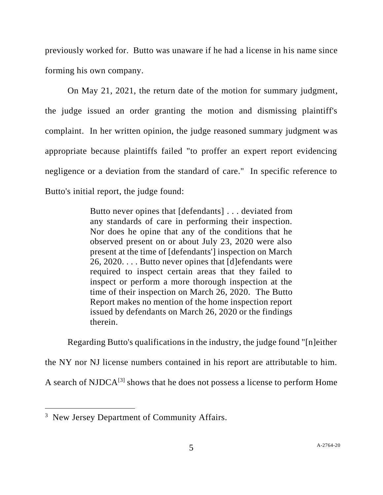previously worked for. Butto was unaware if he had a license in his name since forming his own company.

On May 21, 2021, the return date of the motion for summary judgment, the judge issued an order granting the motion and dismissing plaintiff's complaint. In her written opinion, the judge reasoned summary judgment was appropriate because plaintiffs failed "to proffer an expert report evidencing negligence or a deviation from the standard of care." In specific reference to Butto's initial report, the judge found:

> Butto never opines that [defendants] . . . deviated from any standards of care in performing their inspection. Nor does he opine that any of the conditions that he observed present on or about July 23, 2020 were also present at the time of [defendants'] inspection on March 26, 2020. . . . Butto never opines that [d]efendants were required to inspect certain areas that they failed to inspect or perform a more thorough inspection at the time of their inspection on March 26, 2020. The Butto Report makes no mention of the home inspection report issued by defendants on March 26, 2020 or the findings therein.

Regarding Butto's qualifications in the industry, the judge found "[n]either

the NY nor NJ license numbers contained in his report are attributable to him.

A search of NJDC $A^{[3]}$  shows that he does not possess a license to perform Home

<sup>&</sup>lt;sup>3</sup> New Jersey Department of Community Affairs.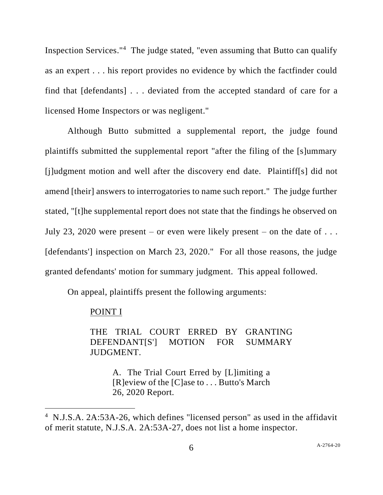Inspection Services."<sup>4</sup> The judge stated, "even assuming that Butto can qualify as an expert . . . his report provides no evidence by which the factfinder could find that [defendants] . . . deviated from the accepted standard of care for a licensed Home Inspectors or was negligent."

Although Butto submitted a supplemental report, the judge found plaintiffs submitted the supplemental report "after the filing of the [s]ummary [j]udgment motion and well after the discovery end date. Plaintiff[s] did not amend [their] answers to interrogatories to name such report." The judge further stated, "[t]he supplemental report does not state that the findings he observed on July 23, 2020 were present – or even were likely present – on the date of  $\dots$ [defendants'] inspection on March 23, 2020." For all those reasons, the judge granted defendants' motion for summary judgment. This appeal followed.

On appeal, plaintiffs present the following arguments:

### POINT I

THE TRIAL COURT ERRED BY GRANTING DEFENDANT[S'] MOTION FOR SUMMARY JUDGMENT.

> A. The Trial Court Erred by [L]imiting a [R]eview of the [C]ase to . . . Butto's March 26, 2020 Report.

<sup>&</sup>lt;sup>4</sup> N.J.S.A. 2A:53A-26, which defines "licensed person" as used in the affidavit of merit statute, N.J.S.A. 2A:53A-27, does not list a home inspector.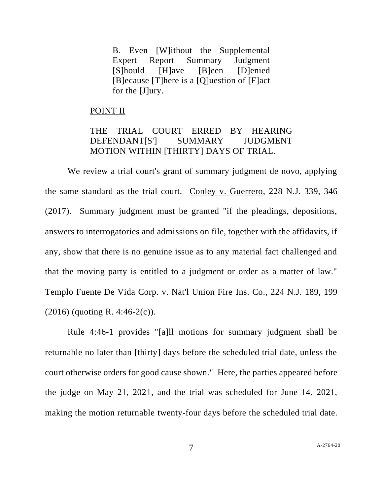B. Even [W]ithout the Supplemental Expert Report Summary Judgment [S]hould [H]ave [B]een [D]enied [B]ecause [T]here is a [Q]uestion of [F]act for the [J]ury.

### POINT II

## THE TRIAL COURT ERRED BY HEARING DEFENDANT[S'] SUMMARY JUDGMENT MOTION WITHIN [THIRTY] DAYS OF TRIAL.

We review a trial court's grant of summary judgment de novo, applying the same standard as the trial court. Conley v. Guerrero, 228 N.J. 339, 346 (2017). Summary judgment must be granted "if the pleadings, depositions, answers to interrogatories and admissions on file, together with the affidavits, if any, show that there is no genuine issue as to any material fact challenged and that the moving party is entitled to a judgment or order as a matter of law." Templo Fuente De Vida Corp. v. Nat'l Union Fire Ins. Co., 224 N.J. 189, 199  $(2016)$  (quoting R. 4:46-2(c)).

Rule 4:46-1 provides "[a]ll motions for summary judgment shall be returnable no later than [thirty] days before the scheduled trial date, unless the court otherwise orders for good cause shown." Here, the parties appeared before the judge on May 21, 2021, and the trial was scheduled for June 14, 2021, making the motion returnable twenty-four days before the scheduled trial date.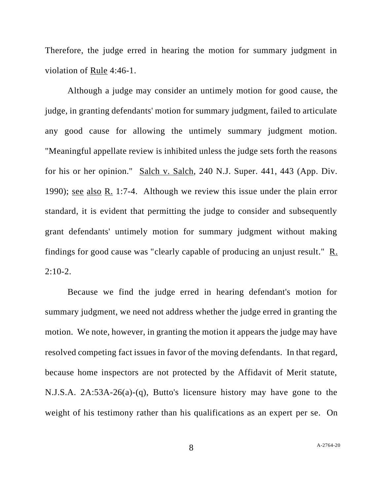Therefore, the judge erred in hearing the motion for summary judgment in violation of Rule 4:46-1.

Although a judge may consider an untimely motion for good cause, the judge, in granting defendants' motion for summary judgment, failed to articulate any good cause for allowing the untimely summary judgment motion. "Meaningful appellate review is inhibited unless the judge sets forth the reasons for his or her opinion." Salch v. Salch, 240 N.J. Super. 441, 443 (App. Div. 1990); see also R. 1:7-4. Although we review this issue under the plain error standard, it is evident that permitting the judge to consider and subsequently grant defendants' untimely motion for summary judgment without making findings for good cause was "clearly capable of producing an unjust result." R.  $2:10-2.$ 

Because we find the judge erred in hearing defendant's motion for summary judgment, we need not address whether the judge erred in granting the motion. We note, however, in granting the motion it appears the judge may have resolved competing fact issues in favor of the moving defendants. In that regard, because home inspectors are not protected by the Affidavit of Merit statute, N.J.S.A. 2A:53A-26(a)-(q), Butto's licensure history may have gone to the weight of his testimony rather than his qualifications as an expert per se. On